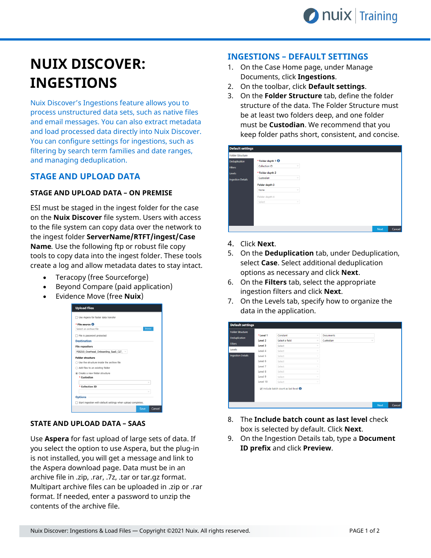# **NUIX DISCOVER: INGESTIONS**

Nuix Discover's Ingestions feature allows you to process unstructured data sets, such as native files and email messages. You can also extract metadata and load processed data directly into Nuix Discover. You can configure settings for ingestions, such as filtering by search term families and date ranges, and managing deduplication.

# **STAGE AND UPLOAD DATA**

### **STAGE AND UPLOAD DATA – ON PREMISE**

ESI must be staged in the ingest folder for the case on the **Nuix Discover** file system. Users with access to the file system can copy data over the network to the ingest folder **ServerName/RTFT/ingest/Case Name***.* Use the following ftp or robust file copy tools to copy data into the ingest folder. These tools create a log and allow metadata dates to stay intact.

- Teracopy (free Sourceforge)
- Beyond Compare (paid application)
- Evidence Move (free **Nuix**)



#### **STATE AND UPLOAD DATA – SAAS**

Use **Aspera** for fast upload of large sets of data. If you select the option to use Aspera, but the plug-in is not installed, you will get a message and link to the Aspera download page. Data must be in an archive file in .zip, .rar, .7z, .tar or tar.gz format. Multipart archive files can be uploaded in .zip or .rar format. If needed, enter a password to unzip the contents of the archive file.

## **INGESTIONS – DEFAULT SETTINGS**

- 1. On the Case Home page, under Manage Documents, click **Ingestions**.
- 2. On the toolbar, click **Default settings**.
- 3. On the **Folder Structure** tab, define the folder structure of the data. The Folder Structure must be at least two folders deep, and one folder must be **Custodian**. We recommend that you keep folder paths short, consistent, and concise.

| <b>Default settings</b>  |                              |            |  |  |      |        |
|--------------------------|------------------------------|------------|--|--|------|--------|
| <b>Folder Structure</b>  |                              |            |  |  |      |        |
| Deduplication            | *Folder depth 1 <sup>0</sup> |            |  |  |      |        |
| <b>Filters</b>           | Collection ID                | $\vee$     |  |  |      |        |
| Levels                   | * Folder depth 2             |            |  |  |      |        |
| <b>Ingestion Details</b> | Custodian                    | $\vee$     |  |  |      |        |
|                          | Folder depth 3               |            |  |  |      |        |
|                          | None                         | $\vee$     |  |  |      |        |
|                          | Folder depth 4               |            |  |  |      |        |
|                          | Select                       | $\searrow$ |  |  |      |        |
|                          |                              |            |  |  |      |        |
|                          |                              |            |  |  |      |        |
|                          |                              |            |  |  |      |        |
|                          |                              |            |  |  |      |        |
|                          |                              |            |  |  | Next | Cancel |

- 4. Click **Next**.
- 5. On the **Deduplication** tab, under Deduplication, select **Case**. Select additional deduplication options as necessary and click **Next**.
- 6. On the **Filters** tab, select the appropriate ingestion filters and click **Next**.
- 7. On the Levels tab, specify how to organize the data in the application.

| <b>Folder Structure</b>  | *Level 1 | Constant                                         | $\sim$       | <b>Documents</b>        |        |
|--------------------------|----------|--------------------------------------------------|--------------|-------------------------|--------|
| Deduplication            |          |                                                  |              |                         |        |
| <b>Filters</b>           | Level 2  | Select a field                                   | $\checkmark$ | Custodian<br>$\searrow$ |        |
|                          | Level 3  | Select                                           | $\checkmark$ |                         |        |
| Levels                   | Level 4  | Select                                           |              |                         |        |
| <b>Ingestion Details</b> | Level 5  | Select                                           | $\sim$       |                         |        |
|                          | Level 6  | Select                                           |              |                         |        |
|                          | Level 7  | Select                                           |              |                         |        |
|                          | Level 8  | Select                                           |              |                         |        |
|                          | Level 9  | Select                                           |              |                         |        |
|                          | Level 10 | Select                                           |              |                         |        |
|                          |          | M Include batch count as last level <sup>O</sup> |              |                         |        |
|                          |          |                                                  |              | <b>Next</b>             | Cancel |

- 8. The **Include batch count as last level** check box is selected by default. Click **Next**.
- 9. On the Ingestion Details tab, type a **Document ID prefix** and click **Preview**.